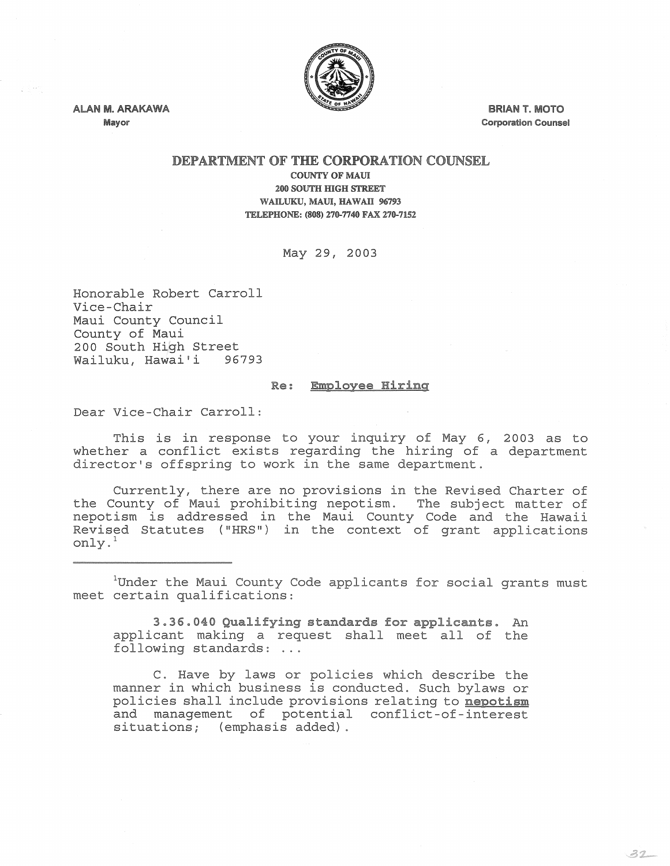

ALAN M. ARAKAWA Mayor

y SHO

BRIAN T. MOTO Corporation Counsel

 $32$ 

## DEPARTMENT OF THE CORPORATION COUNSEL

COUNTY OF MAUl 200 SOUTH HIGH STREET WAILUKU, MAUl, HAWAII 96793 TELEPHONE: (808) 270-7740 FAX 270-7152

May 29, 2003

Honorable Robert Carroll Vice-Chair Maui County Council County of Maui 200 South High Street Wailuku, Hawai'i 96793

## Re: Employee Hiring

Dear Vice-Chair Carroll:

This is in response to your inquiry of May 6, 2003 as to whether a conflict exists regarding the hiring of a department director's offspring to work in the same department.

Currently, there are no provisions in the Revised Charter of the County of Maui prohibiting nepotism. The subject matter of nepotism is addressed in the Maui County Code and the Hawaii Revised Statutes ("HRS") in the context of grant applications only. 1

 $1$ Under the Maui County Code applicants for social grants must meet certain qualifications:

3.36.040 Qualifying standards for applicants. An applicant making a request shall meet all of the following standards: ...

C. Have by laws or policies which describe the manner in which business is conducted. Such bylaws or policies shall include provisions relating to nepotism and management of potential conflict-of-interest situations; (emphasis added) .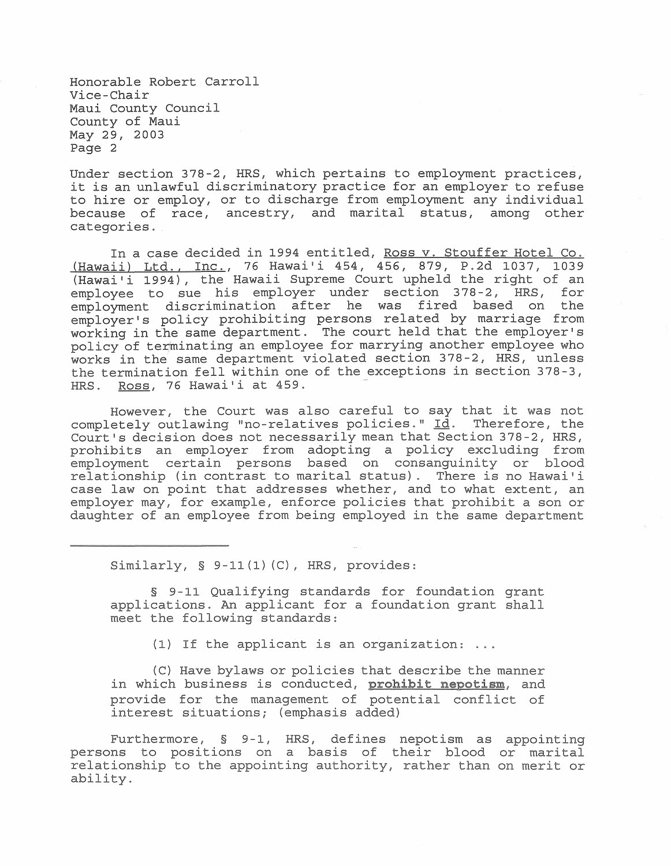Honorable Robert Carroll Vice-Chair Maui County Council County of Maui May 29, 2003 Page 2

Under section 378-2, HRS, which pertains to employment practices, it is an unlawful discriminatory practice for an employer to refuse to hire or employ, or to discharge from employment any individual because of race, ancestry, and marital status, among other categories.

In a case decided in 1994 entitled, Ross v. Stouffer Hotel Co. (Hawaii) Ltd., Inc., 76 Hawai'i 454, 456, 879, P.2d 1037, 1039 (Hawai'i 1994), the Hawaii Supreme Court upheld the right of an employee to sue his employer under section 378-2, HRS, for employment discrimination after he was fired based on the employer's policy prohibiting persons related by marriage from working in the same department. The court held that the employer's policy of terminating an employee for marrying another employee who works in the same department violated section 378-2, HRS, unless the termination fell within one of the exceptions in section 378-3, HRS. Ross, 76 Hawai'i at 459.

However, the Court was also careful to say that it was not completely outlawing "no-relatives policies."  $\underline{\text{Id}}$ . Therefore, the Court's decision does not necessarily mean that Section 378-2, HRS, prohibits an employer from adopting a policy excluding from employment certain persons based on consanguinity or blood relationship (in contrast to marital status). There is no Hawai'i case law on point that addresses whether, and to what extent, an employer may, for example, enforce policies that prohibit a son or daughter of an employee from being employed in the same department

Similarly, § 9-11(1) *(C),* HRS, provides:

§ 9-11 Qualifying standards for foundation grant applications. An applicant for a foundation grant shall meet the following standards:

(1) If the applicant is an organization: ...

(C) Have bylaws or policies that describe the manner in which business is conducted, **prohibit nepotism,** and provide for the management of potential conflict of interest situations; (emphasis added)

Furthermore, § 9-1, HRS, defines nepotism as appointing persons to positions on a basis of their blood or marital relationship to the appointing authority, rather than on merit or ability.